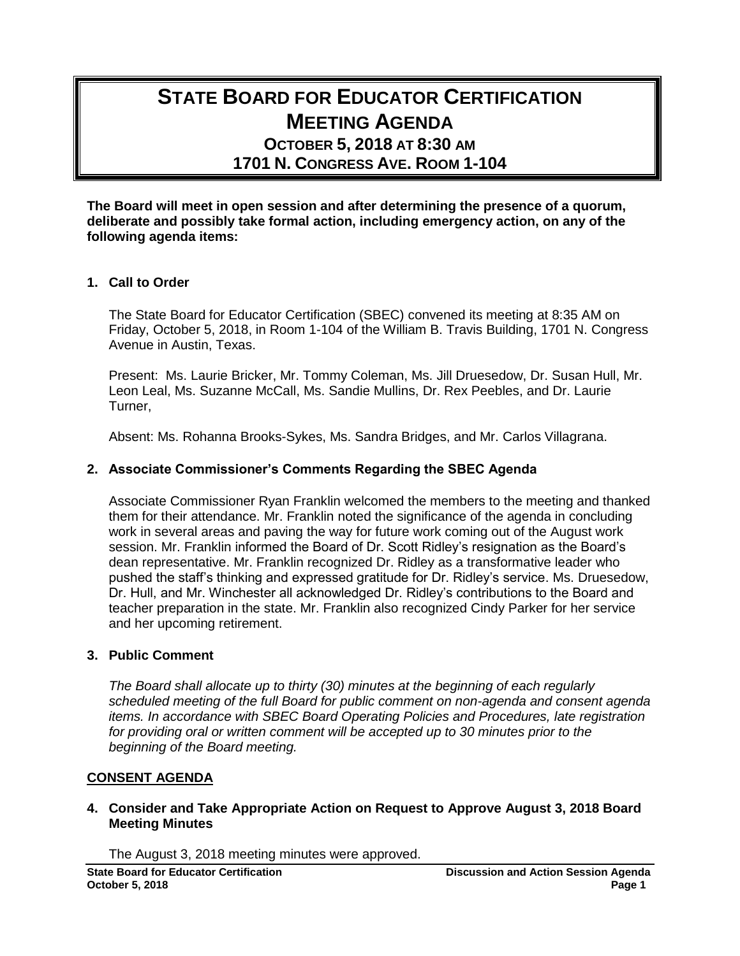# **STATE BOARD FOR EDUCATOR CERTIFICATION MEETING AGENDA OCTOBER 5, 2018 AT 8:30 AM 1701 N. CONGRESS AVE. ROOM 1-104**

**The Board will meet in open session and after determining the presence of a quorum, deliberate and possibly take formal action, including emergency action, on any of the following agenda items:**

# **1. Call to Order**

The State Board for Educator Certification (SBEC) convened its meeting at 8:35 AM on Friday, October 5, 2018, in Room 1-104 of the William B. Travis Building, 1701 N. Congress Avenue in Austin, Texas.

Present: Ms. Laurie Bricker, Mr. Tommy Coleman, Ms. Jill Druesedow, Dr. Susan Hull, Mr. Leon Leal, Ms. Suzanne McCall, Ms. Sandie Mullins, Dr. Rex Peebles, and Dr. Laurie Turner,

Absent: Ms. Rohanna Brooks-Sykes, Ms. Sandra Bridges, and Mr. Carlos Villagrana.

## **2. Associate Commissioner's Comments Regarding the SBEC Agenda**

Associate Commissioner Ryan Franklin welcomed the members to the meeting and thanked them for their attendance. Mr. Franklin noted the significance of the agenda in concluding work in several areas and paving the way for future work coming out of the August work session. Mr. Franklin informed the Board of Dr. Scott Ridley's resignation as the Board's dean representative. Mr. Franklin recognized Dr. Ridley as a transformative leader who pushed the staff's thinking and expressed gratitude for Dr. Ridley's service. Ms. Druesedow, Dr. Hull, and Mr. Winchester all acknowledged Dr. Ridley's contributions to the Board and teacher preparation in the state. Mr. Franklin also recognized Cindy Parker for her service and her upcoming retirement.

## **3. Public Comment**

*The Board shall allocate up to thirty (30) minutes at the beginning of each regularly scheduled meeting of the full Board for public comment on non-agenda and consent agenda items. In accordance with SBEC Board Operating Policies and Procedures, late registration for providing oral or written comment will be accepted up to 30 minutes prior to the beginning of the Board meeting.*

## **CONSENT AGENDA**

## **4. Consider and Take Appropriate Action on Request to Approve August 3, 2018 Board Meeting Minutes**

The August 3, 2018 meeting minutes were approved.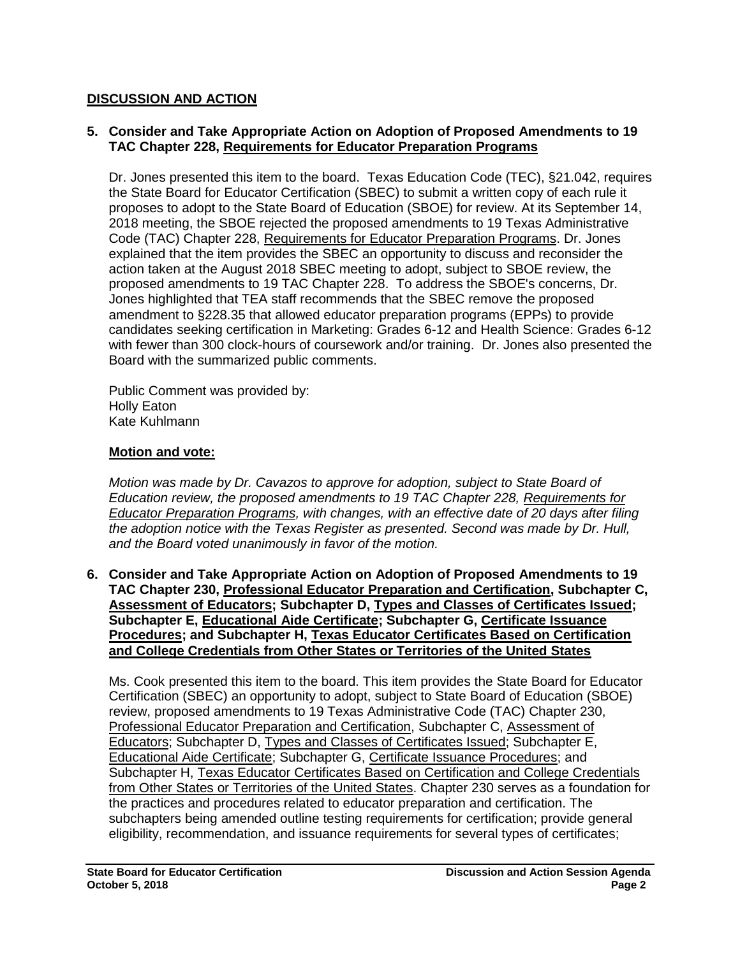# **DISCUSSION AND ACTION**

## **5. Consider and Take Appropriate Action on Adoption of Proposed Amendments to 19 TAC Chapter 228, Requirements for Educator Preparation Programs**

Dr. Jones presented this item to the board. Texas Education Code (TEC), §21.042, requires the State Board for Educator Certification (SBEC) to submit a written copy of each rule it proposes to adopt to the State Board of Education (SBOE) for review. At its September 14, 2018 meeting, the SBOE rejected the proposed amendments to 19 Texas Administrative Code (TAC) Chapter 228, Requirements for Educator Preparation Programs. Dr. Jones explained that the item provides the SBEC an opportunity to discuss and reconsider the action taken at the August 2018 SBEC meeting to adopt, subject to SBOE review, the proposed amendments to 19 TAC Chapter 228. To address the SBOE's concerns, Dr. Jones highlighted that TEA staff recommends that the SBEC remove the proposed amendment to §228.35 that allowed educator preparation programs (EPPs) to provide candidates seeking certification in Marketing: Grades 6-12 and Health Science: Grades 6-12 with fewer than 300 clock-hours of coursework and/or training. Dr. Jones also presented the Board with the summarized public comments.

Public Comment was provided by: Holly Eaton Kate Kuhlmann

## **Motion and vote:**

*Motion was made by Dr. Cavazos to approve for adoption, subject to State Board of Education review, the proposed amendments to 19 TAC Chapter 228, Requirements for Educator Preparation Programs, with changes, with an effective date of 20 days after filing the adoption notice with the Texas Register as presented. Second was made by Dr. Hull, and the Board voted unanimously in favor of the motion.*

**6. Consider and Take Appropriate Action on Adoption of Proposed Amendments to 19 TAC Chapter 230, Professional Educator Preparation and Certification, Subchapter C, Assessment of Educators; Subchapter D, Types and Classes of Certificates Issued; Subchapter E, Educational Aide Certificate; Subchapter G, Certificate Issuance Procedures; and Subchapter H, Texas Educator Certificates Based on Certification and College Credentials from Other States or Territories of the United States**

Ms. Cook presented this item to the board. This item provides the State Board for Educator Certification (SBEC) an opportunity to adopt, subject to State Board of Education (SBOE) review, proposed amendments to 19 Texas Administrative Code (TAC) Chapter 230, Professional Educator Preparation and Certification, Subchapter C, Assessment of Educators; Subchapter D, Types and Classes of Certificates Issued; Subchapter E, Educational Aide Certificate; Subchapter G, Certificate Issuance Procedures; and Subchapter H, Texas Educator Certificates Based on Certification and College Credentials from Other States or Territories of the United States. Chapter 230 serves as a foundation for the practices and procedures related to educator preparation and certification. The subchapters being amended outline testing requirements for certification; provide general eligibility, recommendation, and issuance requirements for several types of certificates;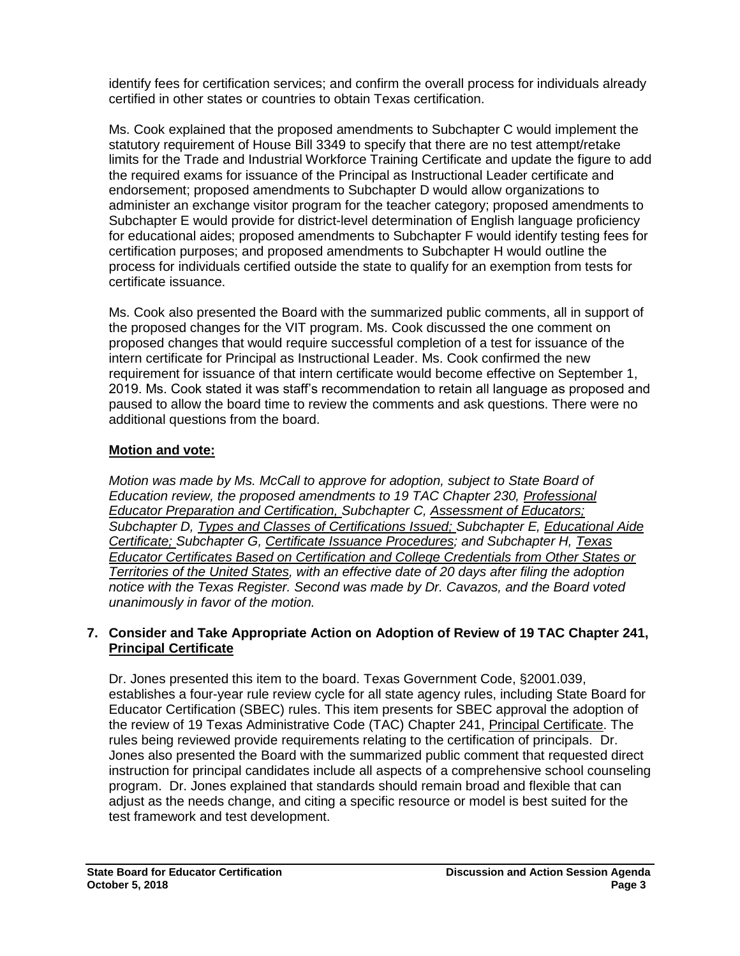identify fees for certification services; and confirm the overall process for individuals already certified in other states or countries to obtain Texas certification.

Ms. Cook explained that the proposed amendments to Subchapter C would implement the statutory requirement of House Bill 3349 to specify that there are no test attempt/retake limits for the Trade and Industrial Workforce Training Certificate and update the figure to add the required exams for issuance of the Principal as Instructional Leader certificate and endorsement; proposed amendments to Subchapter D would allow organizations to administer an exchange visitor program for the teacher category; proposed amendments to Subchapter E would provide for district-level determination of English language proficiency for educational aides; proposed amendments to Subchapter F would identify testing fees for certification purposes; and proposed amendments to Subchapter H would outline the process for individuals certified outside the state to qualify for an exemption from tests for certificate issuance.

Ms. Cook also presented the Board with the summarized public comments, all in support of the proposed changes for the VIT program. Ms. Cook discussed the one comment on proposed changes that would require successful completion of a test for issuance of the intern certificate for Principal as Instructional Leader. Ms. Cook confirmed the new requirement for issuance of that intern certificate would become effective on September 1, 2019. Ms. Cook stated it was staff's recommendation to retain all language as proposed and paused to allow the board time to review the comments and ask questions. There were no additional questions from the board.

# **Motion and vote:**

*Motion was made by Ms. McCall to approve for adoption, subject to State Board of Education review, the proposed amendments to 19 TAC Chapter 230, Professional Educator Preparation and Certification, Subchapter C, Assessment of Educators; Subchapter D, Types and Classes of Certifications Issued; Subchapter E, Educational Aide Certificate; Subchapter G, Certificate Issuance Procedures; and Subchapter H, Texas Educator Certificates Based on Certification and College Credentials from Other States or Territories of the United States, with an effective date of 20 days after filing the adoption notice with the Texas Register. Second was made by Dr. Cavazos, and the Board voted unanimously in favor of the motion.* 

## **7. Consider and Take Appropriate Action on Adoption of Review of 19 TAC Chapter 241, Principal Certificate**

Dr. Jones presented this item to the board. Texas Government Code, §2001.039, establishes a four-year rule review cycle for all state agency rules, including State Board for Educator Certification (SBEC) rules. This item presents for SBEC approval the adoption of the review of 19 Texas Administrative Code (TAC) Chapter 241, Principal Certificate. The rules being reviewed provide requirements relating to the certification of principals. Dr. Jones also presented the Board with the summarized public comment that requested direct instruction for principal candidates include all aspects of a comprehensive school counseling program. Dr. Jones explained that standards should remain broad and flexible that can adjust as the needs change, and citing a specific resource or model is best suited for the test framework and test development.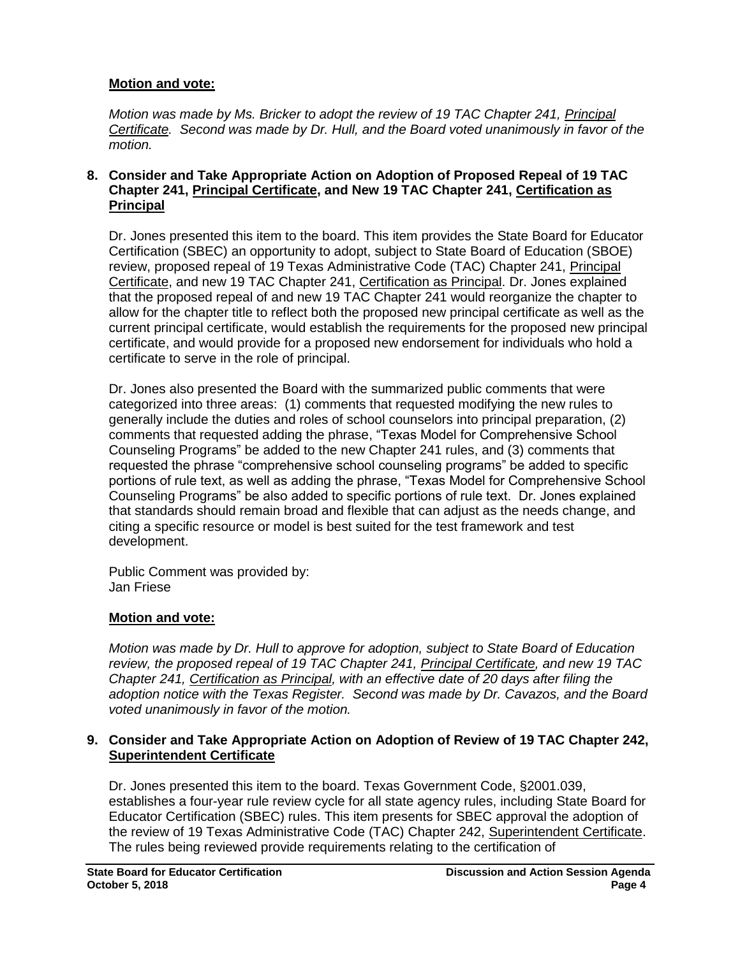# **Motion and vote:**

*Motion was made by Ms. Bricker to adopt the review of 19 TAC Chapter 241, Principal Certificate. Second was made by Dr. Hull, and the Board voted unanimously in favor of the motion.*

## **8. Consider and Take Appropriate Action on Adoption of Proposed Repeal of 19 TAC Chapter 241, Principal Certificate, and New 19 TAC Chapter 241, Certification as Principal**

Dr. Jones presented this item to the board. This item provides the State Board for Educator Certification (SBEC) an opportunity to adopt, subject to State Board of Education (SBOE) review, proposed repeal of 19 Texas Administrative Code (TAC) Chapter 241, Principal Certificate, and new 19 TAC Chapter 241, Certification as Principal. Dr. Jones explained that the proposed repeal of and new 19 TAC Chapter 241 would reorganize the chapter to allow for the chapter title to reflect both the proposed new principal certificate as well as the current principal certificate, would establish the requirements for the proposed new principal certificate, and would provide for a proposed new endorsement for individuals who hold a certificate to serve in the role of principal.

Dr. Jones also presented the Board with the summarized public comments that were categorized into three areas: (1) comments that requested modifying the new rules to generally include the duties and roles of school counselors into principal preparation, (2) comments that requested adding the phrase, "Texas Model for Comprehensive School Counseling Programs" be added to the new Chapter 241 rules, and (3) comments that requested the phrase "comprehensive school counseling programs" be added to specific portions of rule text, as well as adding the phrase, "Texas Model for Comprehensive School Counseling Programs" be also added to specific portions of rule text. Dr. Jones explained that standards should remain broad and flexible that can adjust as the needs change, and citing a specific resource or model is best suited for the test framework and test development.

Public Comment was provided by: Jan Friese

# **Motion and vote:**

*Motion was made by Dr. Hull to approve for adoption, subject to State Board of Education review, the proposed repeal of 19 TAC Chapter 241, Principal Certificate, and new 19 TAC Chapter 241, Certification as Principal, with an effective date of 20 days after filing the adoption notice with the Texas Register. Second was made by Dr. Cavazos, and the Board voted unanimously in favor of the motion.*

## **9. Consider and Take Appropriate Action on Adoption of Review of 19 TAC Chapter 242, Superintendent Certificate**

Dr. Jones presented this item to the board. Texas Government Code, §2001.039, establishes a four-year rule review cycle for all state agency rules, including State Board for Educator Certification (SBEC) rules. This item presents for SBEC approval the adoption of the review of 19 Texas Administrative Code (TAC) Chapter 242, Superintendent Certificate. The rules being reviewed provide requirements relating to the certification of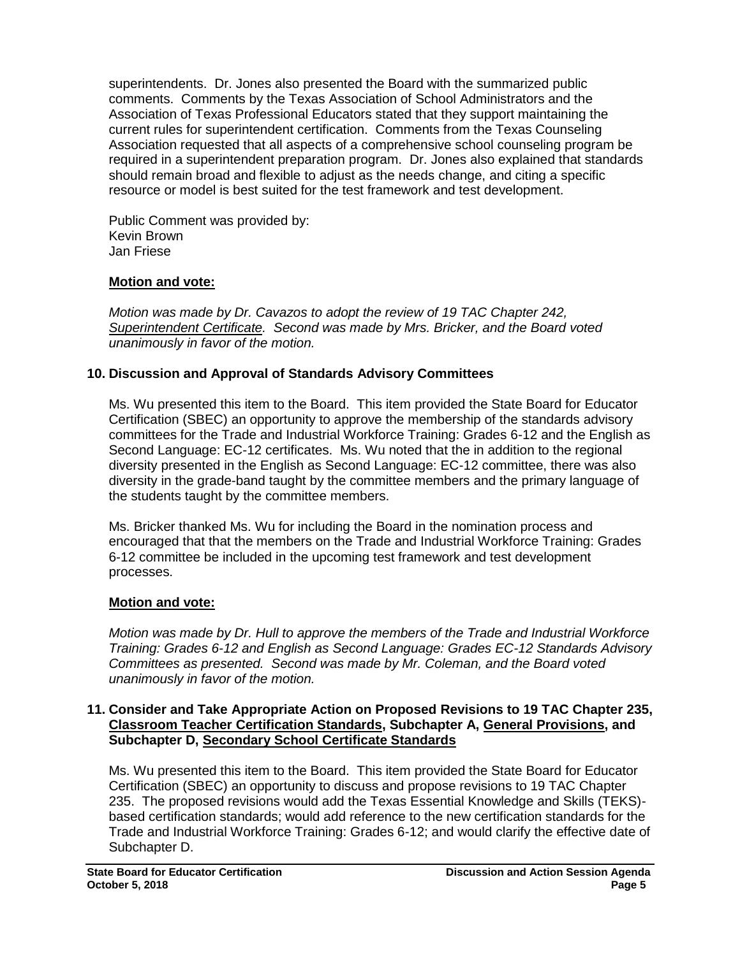superintendents. Dr. Jones also presented the Board with the summarized public comments. Comments by the Texas Association of School Administrators and the Association of Texas Professional Educators stated that they support maintaining the current rules for superintendent certification. Comments from the Texas Counseling Association requested that all aspects of a comprehensive school counseling program be required in a superintendent preparation program. Dr. Jones also explained that standards should remain broad and flexible to adjust as the needs change, and citing a specific resource or model is best suited for the test framework and test development.

Public Comment was provided by: Kevin Brown Jan Friese

# **Motion and vote:**

*Motion was made by Dr. Cavazos to adopt the review of 19 TAC Chapter 242, Superintendent Certificate. Second was made by Mrs. Bricker, and the Board voted unanimously in favor of the motion.*

# **10. Discussion and Approval of Standards Advisory Committees**

Ms. Wu presented this item to the Board. This item provided the State Board for Educator Certification (SBEC) an opportunity to approve the membership of the standards advisory committees for the Trade and Industrial Workforce Training: Grades 6-12 and the English as Second Language: EC-12 certificates. Ms. Wu noted that the in addition to the regional diversity presented in the English as Second Language: EC-12 committee, there was also diversity in the grade-band taught by the committee members and the primary language of the students taught by the committee members.

Ms. Bricker thanked Ms. Wu for including the Board in the nomination process and encouraged that that the members on the Trade and Industrial Workforce Training: Grades 6-12 committee be included in the upcoming test framework and test development processes.

# **Motion and vote:**

*Motion was made by Dr. Hull to approve the members of the Trade and Industrial Workforce Training: Grades 6-12 and English as Second Language: Grades EC-12 Standards Advisory Committees as presented. Second was made by Mr. Coleman, and the Board voted unanimously in favor of the motion.*

## **11. Consider and Take Appropriate Action on Proposed Revisions to 19 TAC Chapter 235, Classroom Teacher Certification Standards, Subchapter A, General Provisions, and Subchapter D, Secondary School Certificate Standards**

Ms. Wu presented this item to the Board. This item provided the State Board for Educator Certification (SBEC) an opportunity to discuss and propose revisions to 19 TAC Chapter 235. The proposed revisions would add the Texas Essential Knowledge and Skills (TEKS) based certification standards; would add reference to the new certification standards for the Trade and Industrial Workforce Training: Grades 6-12; and would clarify the effective date of Subchapter D.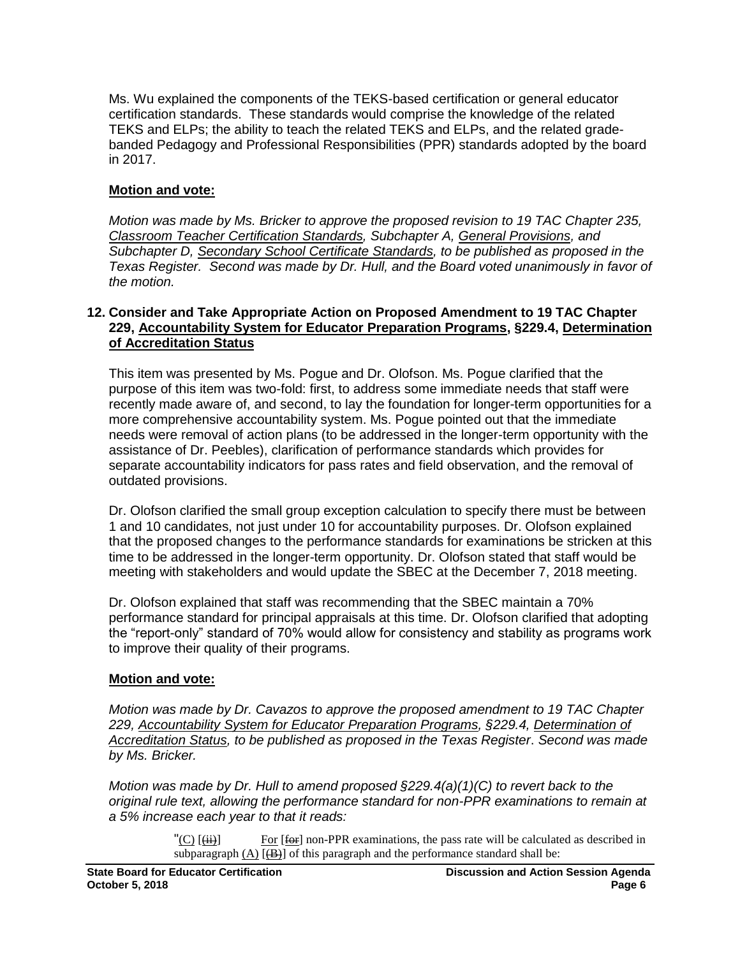Ms. Wu explained the components of the TEKS-based certification or general educator certification standards. These standards would comprise the knowledge of the related TEKS and ELPs; the ability to teach the related TEKS and ELPs, and the related gradebanded Pedagogy and Professional Responsibilities (PPR) standards adopted by the board in 2017.

## **Motion and vote:**

*Motion was made by Ms. Bricker to approve the proposed revision to 19 TAC Chapter 235, Classroom Teacher Certification Standards, Subchapter A, General Provisions, and Subchapter D, Secondary School Certificate Standards, to be published as proposed in the Texas Register. Second was made by Dr. Hull, and the Board voted unanimously in favor of the motion.*

## **12. Consider and Take Appropriate Action on Proposed Amendment to 19 TAC Chapter 229, Accountability System for Educator Preparation Programs, §229.4, Determination of Accreditation Status**

This item was presented by Ms. Pogue and Dr. Olofson. Ms. Pogue clarified that the purpose of this item was two-fold: first, to address some immediate needs that staff were recently made aware of, and second, to lay the foundation for longer-term opportunities for a more comprehensive accountability system. Ms. Pogue pointed out that the immediate needs were removal of action plans (to be addressed in the longer-term opportunity with the assistance of Dr. Peebles), clarification of performance standards which provides for separate accountability indicators for pass rates and field observation, and the removal of outdated provisions.

Dr. Olofson clarified the small group exception calculation to specify there must be between 1 and 10 candidates, not just under 10 for accountability purposes. Dr. Olofson explained that the proposed changes to the performance standards for examinations be stricken at this time to be addressed in the longer-term opportunity. Dr. Olofson stated that staff would be meeting with stakeholders and would update the SBEC at the December 7, 2018 meeting.

Dr. Olofson explained that staff was recommending that the SBEC maintain a 70% performance standard for principal appraisals at this time. Dr. Olofson clarified that adopting the "report-only" standard of 70% would allow for consistency and stability as programs work to improve their quality of their programs.

## **Motion and vote:**

*Motion was made by Dr. Cavazos to approve the proposed amendment to 19 TAC Chapter 229, Accountability System for Educator Preparation Programs, §229.4, Determination of Accreditation Status, to be published as proposed in the Texas Register*. *Second was made by Ms. Bricker.* 

*Motion was made by Dr. Hull to amend proposed §229.4(a)(1)(C) to revert back to the original rule text, allowing the performance standard for non-PPR examinations to remain at a 5% increase each year to that it reads:* 

> " $(C)$   $\overrightarrow{(\text{iii})}$  For  $\overrightarrow{f}_{\text{def}}$  non-PPR examinations, the pass rate will be calculated as described in subparagraph  $(A)$   $(\overline{B})$  of this paragraph and the performance standard shall be: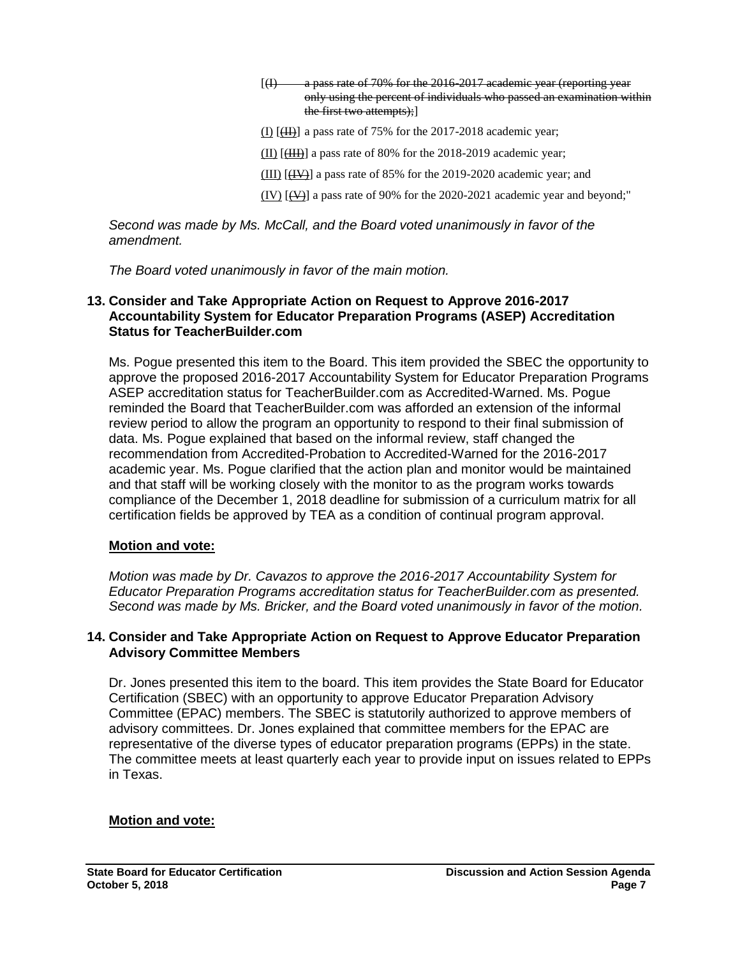$(1)$  a pass rate of 70% for the 2016-2017 academic year (reporting year only using the percent of individuals who passed an examination within the first two attempts);]

- $(I)$   $(H)$  a pass rate of 75% for the 2017-2018 academic year;
- $(III)$   $[III]$  a pass rate of 80% for the 2018-2019 academic year;
- (III)  $[\langle \overline{IV} \rangle]$  a pass rate of 85% for the 2019-2020 academic year; and
- $(V)$   $(\forall \rightarrow)$  a pass rate of 90% for the 2020-2021 academic year and beyond;"

*Second was made by Ms. McCall, and the Board voted unanimously in favor of the amendment.* 

*The Board voted unanimously in favor of the main motion.* 

## **13. Consider and Take Appropriate Action on Request to Approve 2016-2017 Accountability System for Educator Preparation Programs (ASEP) Accreditation Status for TeacherBuilder.com**

Ms. Pogue presented this item to the Board. This item provided the SBEC the opportunity to approve the proposed 2016-2017 Accountability System for Educator Preparation Programs ASEP accreditation status for TeacherBuilder.com as Accredited-Warned. Ms. Pogue reminded the Board that TeacherBuilder.com was afforded an extension of the informal review period to allow the program an opportunity to respond to their final submission of data. Ms. Pogue explained that based on the informal review, staff changed the recommendation from Accredited-Probation to Accredited-Warned for the 2016-2017 academic year. Ms. Pogue clarified that the action plan and monitor would be maintained and that staff will be working closely with the monitor to as the program works towards compliance of the December 1, 2018 deadline for submission of a curriculum matrix for all certification fields be approved by TEA as a condition of continual program approval.

## **Motion and vote:**

*Motion was made by Dr. Cavazos to approve the 2016-2017 Accountability System for Educator Preparation Programs accreditation status for TeacherBuilder.com as presented. Second was made by Ms. Bricker, and the Board voted unanimously in favor of the motion.* 

## **14. Consider and Take Appropriate Action on Request to Approve Educator Preparation Advisory Committee Members**

Dr. Jones presented this item to the board. This item provides the State Board for Educator Certification (SBEC) with an opportunity to approve Educator Preparation Advisory Committee (EPAC) members. The SBEC is statutorily authorized to approve members of advisory committees. Dr. Jones explained that committee members for the EPAC are representative of the diverse types of educator preparation programs (EPPs) in the state. The committee meets at least quarterly each year to provide input on issues related to EPPs in Texas.

## **Motion and vote:**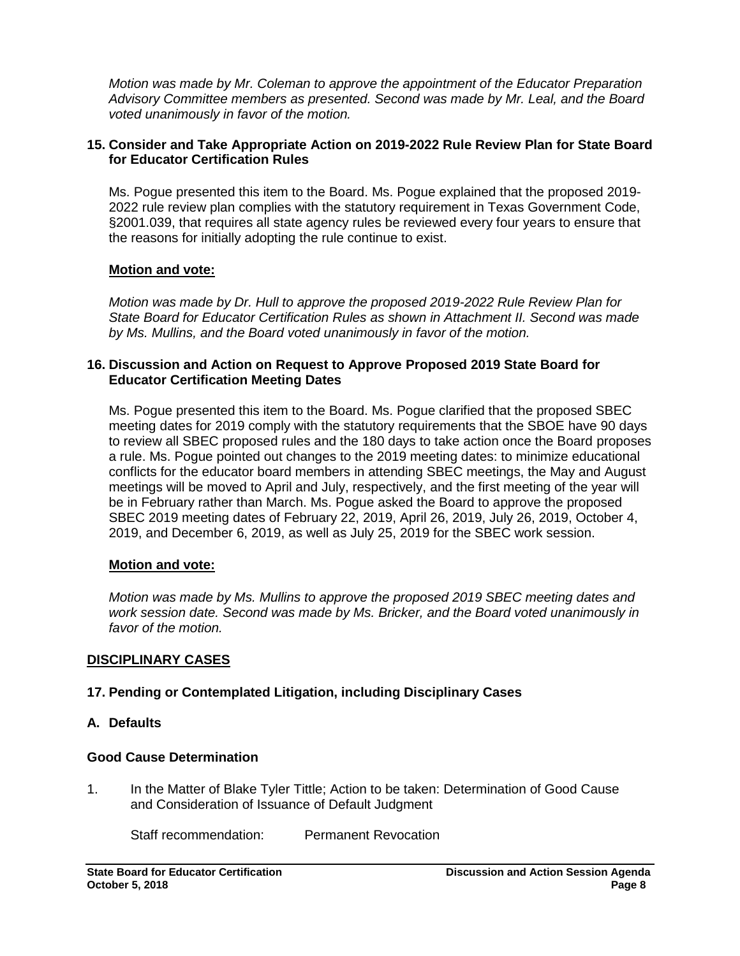*Motion was made by Mr. Coleman to approve the appointment of the Educator Preparation Advisory Committee members as presented. Second was made by Mr. Leal, and the Board voted unanimously in favor of the motion.* 

#### **15. Consider and Take Appropriate Action on 2019-2022 Rule Review Plan for State Board for Educator Certification Rules**

Ms. Pogue presented this item to the Board. Ms. Pogue explained that the proposed 2019- 2022 rule review plan complies with the statutory requirement in Texas Government Code, §2001.039, that requires all state agency rules be reviewed every four years to ensure that the reasons for initially adopting the rule continue to exist.

## **Motion and vote:**

*Motion was made by Dr. Hull to approve the proposed 2019-2022 Rule Review Plan for State Board for Educator Certification Rules as shown in Attachment II. Second was made by Ms. Mullins, and the Board voted unanimously in favor of the motion.* 

## **16. Discussion and Action on Request to Approve Proposed 2019 State Board for Educator Certification Meeting Dates**

Ms. Pogue presented this item to the Board. Ms. Pogue clarified that the proposed SBEC meeting dates for 2019 comply with the statutory requirements that the SBOE have 90 days to review all SBEC proposed rules and the 180 days to take action once the Board proposes a rule. Ms. Pogue pointed out changes to the 2019 meeting dates: to minimize educational conflicts for the educator board members in attending SBEC meetings, the May and August meetings will be moved to April and July, respectively, and the first meeting of the year will be in February rather than March. Ms. Pogue asked the Board to approve the proposed SBEC 2019 meeting dates of February 22, 2019, April 26, 2019, July 26, 2019, October 4, 2019, and December 6, 2019, as well as July 25, 2019 for the SBEC work session.

## **Motion and vote:**

*Motion was made by Ms. Mullins to approve the proposed 2019 SBEC meeting dates and work session date. Second was made by Ms. Bricker, and the Board voted unanimously in favor of the motion.* 

# **DISCIPLINARY CASES**

# **17. Pending or Contemplated Litigation, including Disciplinary Cases**

## **A. Defaults**

# **Good Cause Determination**

1. In the Matter of Blake Tyler Tittle; Action to be taken: Determination of Good Cause and Consideration of Issuance of Default Judgment

Staff recommendation: Permanent Revocation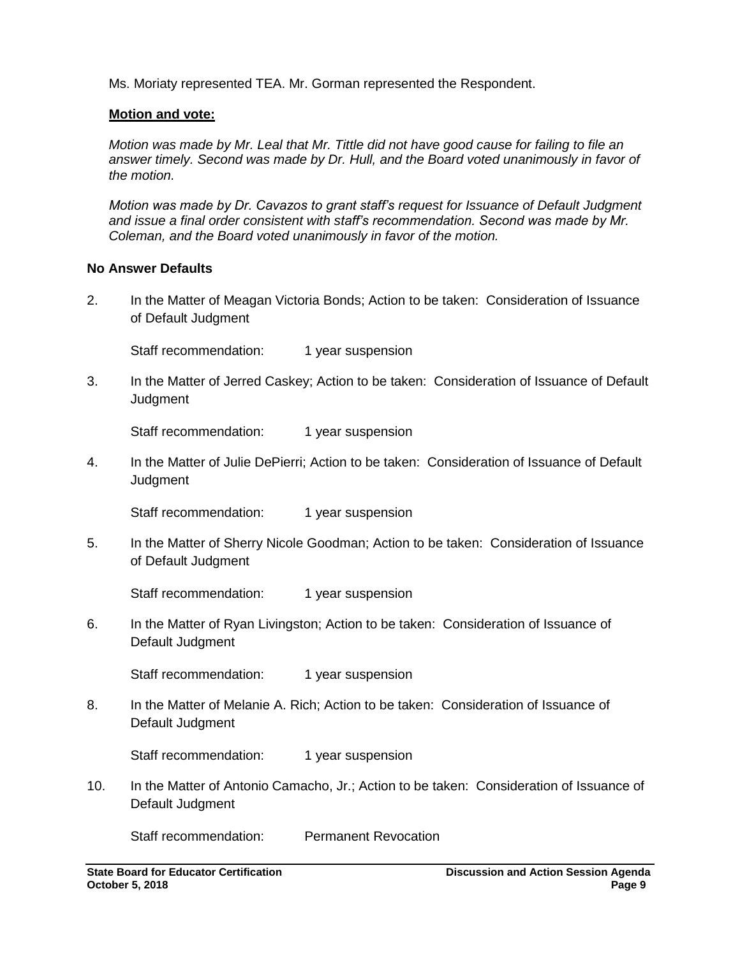Ms. Moriaty represented TEA. Mr. Gorman represented the Respondent.

## **Motion and vote:**

*Motion was made by Mr. Leal that Mr. Tittle did not have good cause for failing to file an answer timely. Second was made by Dr. Hull, and the Board voted unanimously in favor of the motion.* 

*Motion was made by Dr. Cavazos to grant staff's request for Issuance of Default Judgment and issue a final order consistent with staff's recommendation. Second was made by Mr. Coleman, and the Board voted unanimously in favor of the motion.* 

## **No Answer Defaults**

2. In the Matter of Meagan Victoria Bonds; Action to be taken: Consideration of Issuance of Default Judgment

Staff recommendation: 1 year suspension

3. In the Matter of Jerred Caskey; Action to be taken: Consideration of Issuance of Default **Judgment** 

Staff recommendation: 1 year suspension

4. In the Matter of Julie DePierri; Action to be taken: Consideration of Issuance of Default **Judgment** 

Staff recommendation: 1 year suspension

5. In the Matter of Sherry Nicole Goodman; Action to be taken: Consideration of Issuance of Default Judgment

Staff recommendation: 1 year suspension

6. In the Matter of Ryan Livingston; Action to be taken: Consideration of Issuance of Default Judgment

Staff recommendation: 1 year suspension

8. In the Matter of Melanie A. Rich; Action to be taken: Consideration of Issuance of Default Judgment

Staff recommendation: 1 year suspension

10. In the Matter of Antonio Camacho, Jr.; Action to be taken: Consideration of Issuance of Default Judgment

Staff recommendation: Permanent Revocation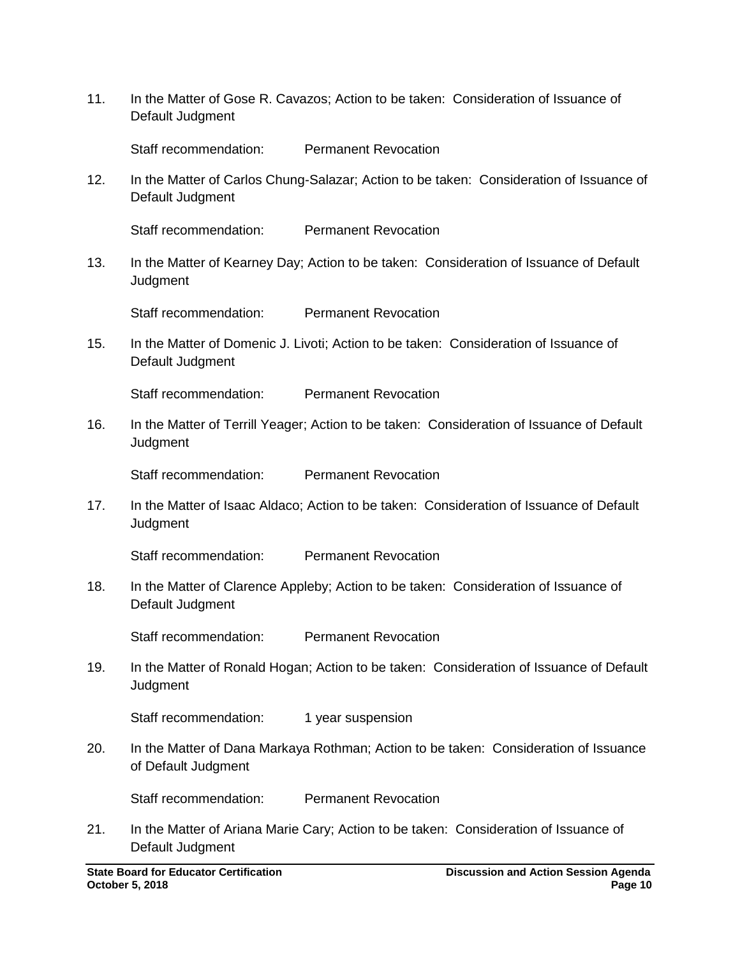11. In the Matter of Gose R. Cavazos; Action to be taken: Consideration of Issuance of Default Judgment

Staff recommendation: Permanent Revocation

12. In the Matter of Carlos Chung-Salazar; Action to be taken: Consideration of Issuance of Default Judgment

Staff recommendation: Permanent Revocation

13. In the Matter of Kearney Day; Action to be taken: Consideration of Issuance of Default **Judgment** 

Staff recommendation: Permanent Revocation

15. In the Matter of Domenic J. Livoti; Action to be taken: Consideration of Issuance of Default Judgment

Staff recommendation: Permanent Revocation

16. In the Matter of Terrill Yeager; Action to be taken: Consideration of Issuance of Default Judgment

Staff recommendation: Permanent Revocation

17. In the Matter of Isaac Aldaco; Action to be taken: Consideration of Issuance of Default **Judgment** 

Staff recommendation: Permanent Revocation

18. In the Matter of Clarence Appleby; Action to be taken: Consideration of Issuance of Default Judgment

Staff recommendation: Permanent Revocation

19. In the Matter of Ronald Hogan; Action to be taken: Consideration of Issuance of Default **Judgment** 

Staff recommendation: 1 year suspension

20. In the Matter of Dana Markaya Rothman; Action to be taken: Consideration of Issuance of Default Judgment

Staff recommendation: Permanent Revocation

21. In the Matter of Ariana Marie Cary; Action to be taken: Consideration of Issuance of Default Judgment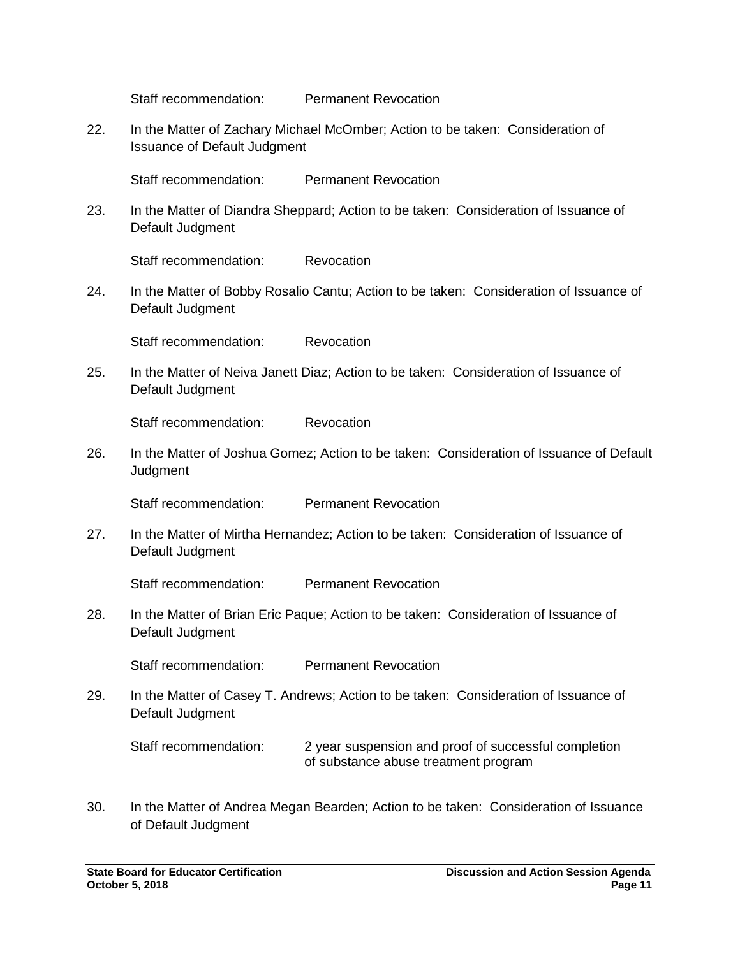Staff recommendation: Permanent Revocation

22. In the Matter of Zachary Michael McOmber; Action to be taken: Consideration of Issuance of Default Judgment

Staff recommendation: Permanent Revocation

23. In the Matter of Diandra Sheppard; Action to be taken: Consideration of Issuance of Default Judgment

Staff recommendation: Revocation

24. In the Matter of Bobby Rosalio Cantu; Action to be taken: Consideration of Issuance of Default Judgment

Staff recommendation: Revocation

25. In the Matter of Neiva Janett Diaz; Action to be taken: Consideration of Issuance of Default Judgment

Staff recommendation: Revocation

26. In the Matter of Joshua Gomez; Action to be taken: Consideration of Issuance of Default **Judgment** 

Staff recommendation: Permanent Revocation

27. In the Matter of Mirtha Hernandez; Action to be taken: Consideration of Issuance of Default Judgment

Staff recommendation: Permanent Revocation

28. In the Matter of Brian Eric Paque; Action to be taken: Consideration of Issuance of Default Judgment

Staff recommendation: Permanent Revocation

29. In the Matter of Casey T. Andrews; Action to be taken: Consideration of Issuance of Default Judgment

Staff recommendation: 2 year suspension and proof of successful completion of substance abuse treatment program

30. In the Matter of Andrea Megan Bearden; Action to be taken: Consideration of Issuance of Default Judgment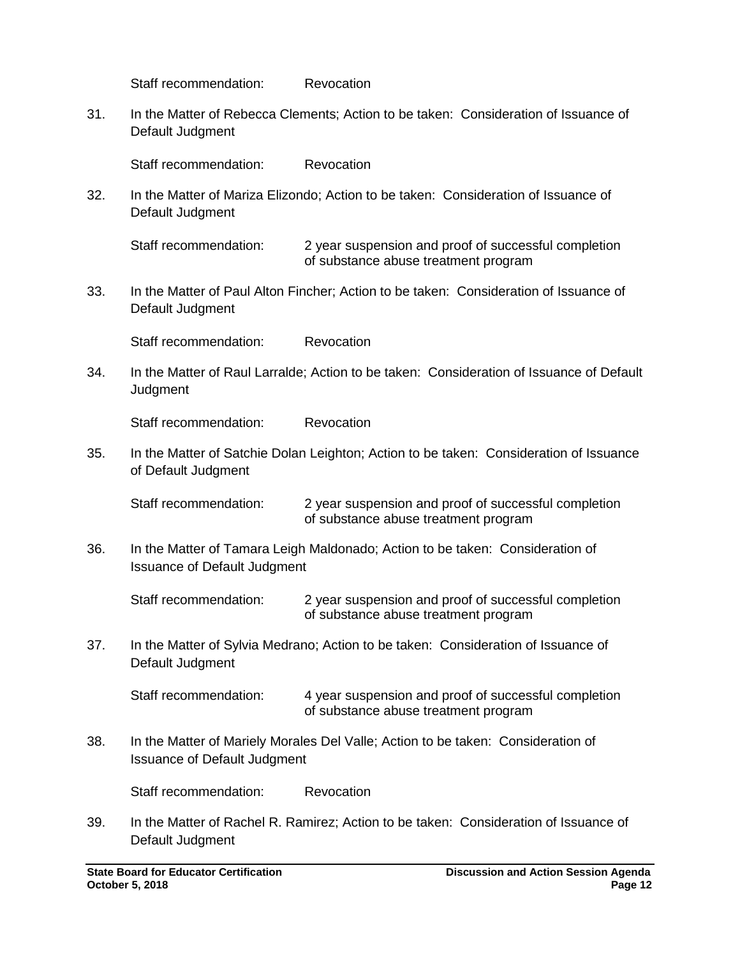Staff recommendation: Revocation

31. In the Matter of Rebecca Clements; Action to be taken: Consideration of Issuance of Default Judgment

Staff recommendation: Revocation

32. In the Matter of Mariza Elizondo; Action to be taken: Consideration of Issuance of Default Judgment

Staff recommendation: 2 year suspension and proof of successful completion of substance abuse treatment program

33. In the Matter of Paul Alton Fincher; Action to be taken: Consideration of Issuance of Default Judgment

Staff recommendation: Revocation

34. In the Matter of Raul Larralde; Action to be taken: Consideration of Issuance of Default Judgment

Staff recommendation: Revocation

35. In the Matter of Satchie Dolan Leighton; Action to be taken: Consideration of Issuance of Default Judgment

Staff recommendation: 2 year suspension and proof of successful completion of substance abuse treatment program

36. In the Matter of Tamara Leigh Maldonado; Action to be taken: Consideration of Issuance of Default Judgment

Staff recommendation: 2 year suspension and proof of successful completion of substance abuse treatment program

37. In the Matter of Sylvia Medrano; Action to be taken: Consideration of Issuance of Default Judgment

Staff recommendation: 4 year suspension and proof of successful completion of substance abuse treatment program

38. In the Matter of Mariely Morales Del Valle; Action to be taken: Consideration of Issuance of Default Judgment

Staff recommendation: Revocation

39. In the Matter of Rachel R. Ramirez; Action to be taken: Consideration of Issuance of Default Judgment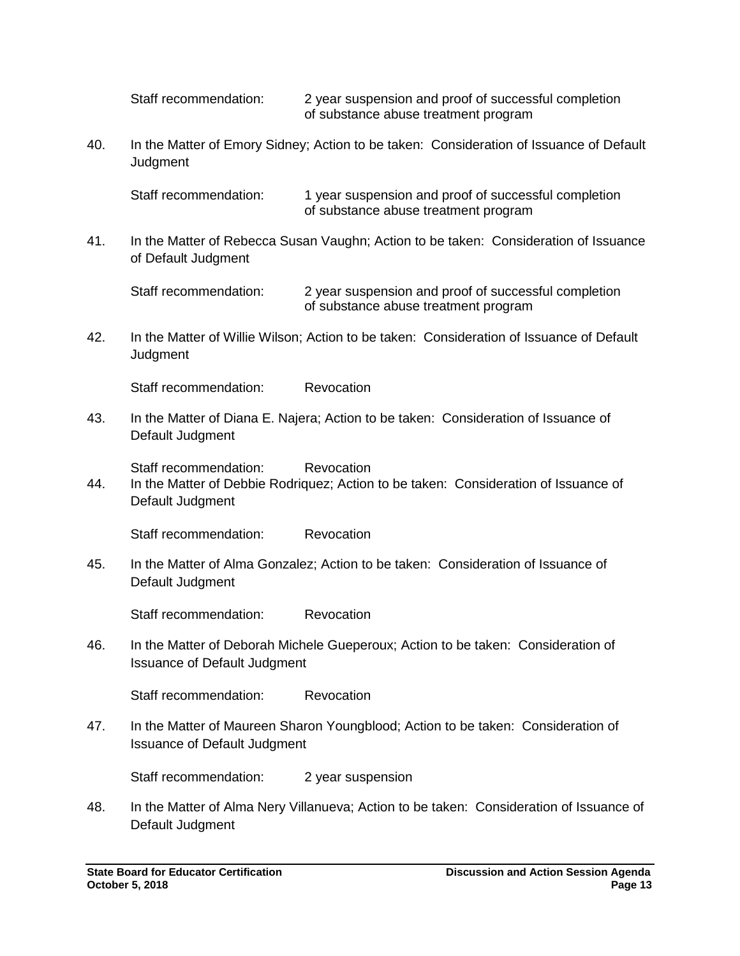Staff recommendation: 2 year suspension and proof of successful completion of substance abuse treatment program

40. In the Matter of Emory Sidney; Action to be taken: Consideration of Issuance of Default **Judament** 

Staff recommendation: 1 year suspension and proof of successful completion of substance abuse treatment program

41. In the Matter of Rebecca Susan Vaughn; Action to be taken: Consideration of Issuance of Default Judgment

Staff recommendation: 2 year suspension and proof of successful completion of substance abuse treatment program

42. In the Matter of Willie Wilson; Action to be taken: Consideration of Issuance of Default **Judgment** 

Staff recommendation: Revocation

43. In the Matter of Diana E. Najera; Action to be taken: Consideration of Issuance of Default Judgment

Staff recommendation: Revocation

44. In the Matter of Debbie Rodriquez; Action to be taken: Consideration of Issuance of Default Judgment

Staff recommendation: Revocation

45. In the Matter of Alma Gonzalez; Action to be taken: Consideration of Issuance of Default Judgment

Staff recommendation: Revocation

46. In the Matter of Deborah Michele Gueperoux; Action to be taken: Consideration of Issuance of Default Judgment

Staff recommendation: Revocation

47. In the Matter of Maureen Sharon Youngblood; Action to be taken: Consideration of Issuance of Default Judgment

Staff recommendation: 2 year suspension

48. In the Matter of Alma Nery Villanueva; Action to be taken: Consideration of Issuance of Default Judgment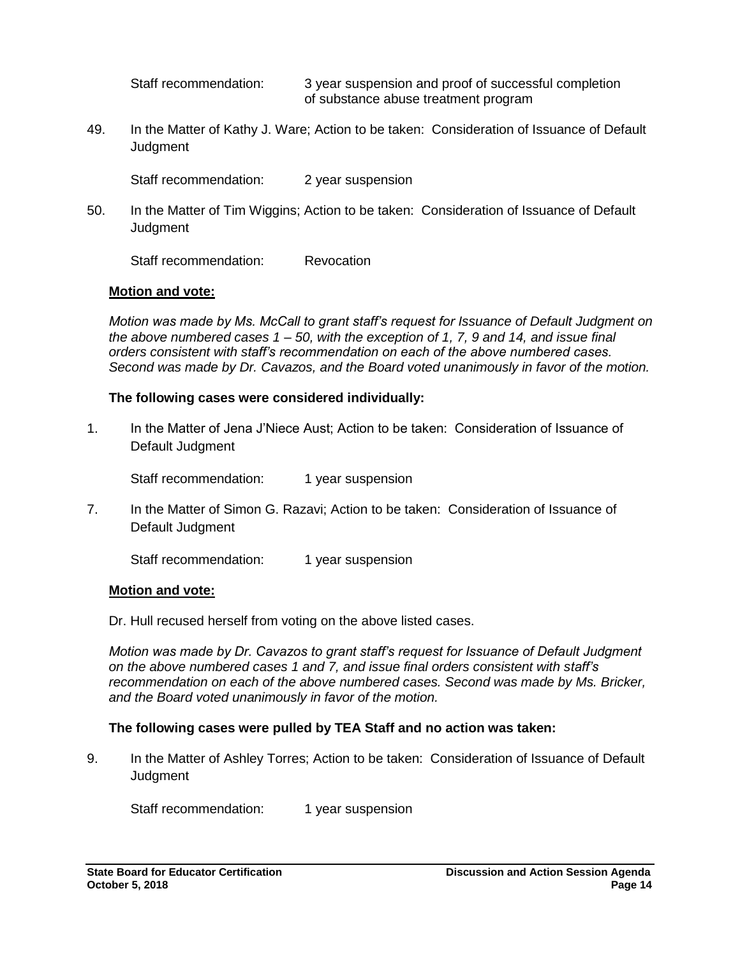Staff recommendation: 3 year suspension and proof of successful completion of substance abuse treatment program

49. In the Matter of Kathy J. Ware; Action to be taken: Consideration of Issuance of Default **Judgment** 

Staff recommendation: 2 year suspension

50. In the Matter of Tim Wiggins; Action to be taken: Consideration of Issuance of Default **Judgment** 

Staff recommendation: Revocation

## **Motion and vote:**

*Motion was made by Ms. McCall to grant staff's request for Issuance of Default Judgment on the above numbered cases 1 – 50, with the exception of 1, 7, 9 and 14, and issue final orders consistent with staff's recommendation on each of the above numbered cases. Second was made by Dr. Cavazos, and the Board voted unanimously in favor of the motion.* 

## **The following cases were considered individually:**

1. In the Matter of Jena J'Niece Aust; Action to be taken: Consideration of Issuance of Default Judgment

Staff recommendation: 1 year suspension

7. In the Matter of Simon G. Razavi; Action to be taken: Consideration of Issuance of Default Judgment

Staff recommendation: 1 year suspension

## **Motion and vote:**

Dr. Hull recused herself from voting on the above listed cases.

*Motion was made by Dr. Cavazos to grant staff's request for Issuance of Default Judgment on the above numbered cases 1 and 7, and issue final orders consistent with staff's recommendation on each of the above numbered cases. Second was made by Ms. Bricker, and the Board voted unanimously in favor of the motion.*

# **The following cases were pulled by TEA Staff and no action was taken:**

9. In the Matter of Ashley Torres; Action to be taken: Consideration of Issuance of Default **Judgment** 

Staff recommendation: 1 year suspension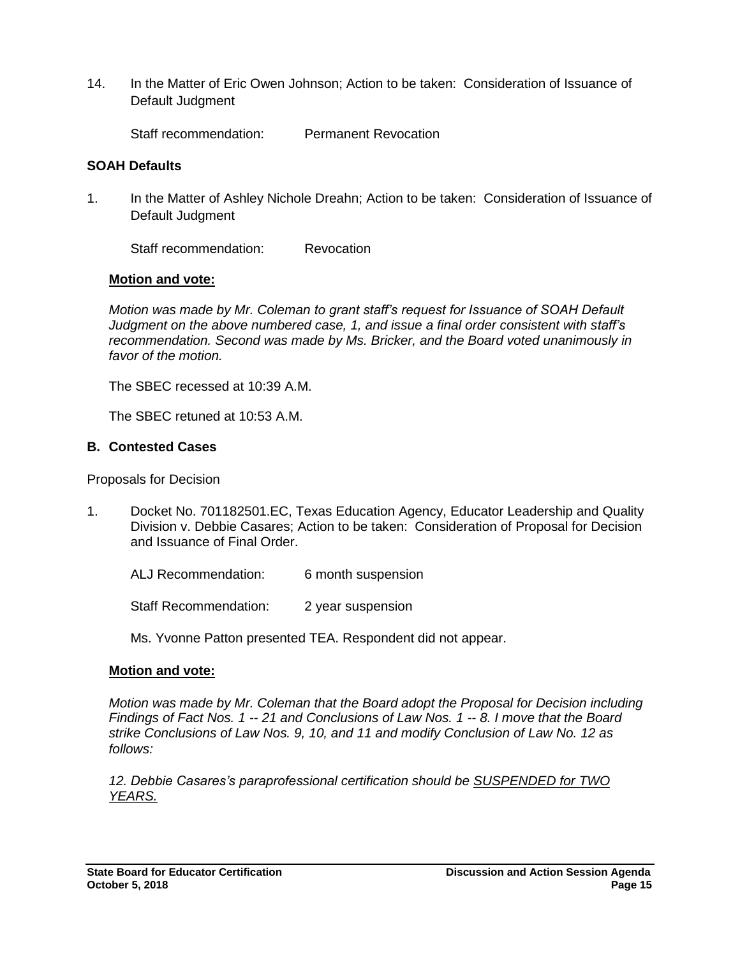14. In the Matter of Eric Owen Johnson; Action to be taken: Consideration of Issuance of Default Judgment

Staff recommendation: Permanent Revocation

## **SOAH Defaults**

1. In the Matter of Ashley Nichole Dreahn; Action to be taken: Consideration of Issuance of Default Judgment

Staff recommendation: Revocation

## **Motion and vote:**

*Motion was made by Mr. Coleman to grant staff's request for Issuance of SOAH Default Judgment on the above numbered case, 1, and issue a final order consistent with staff's recommendation. Second was made by Ms. Bricker, and the Board voted unanimously in favor of the motion.* 

The SBEC recessed at 10:39 A.M.

The SBEC retuned at 10:53 A.M.

## **B. Contested Cases**

Proposals for Decision

1. Docket No. 701182501.EC, Texas Education Agency, Educator Leadership and Quality Division v. Debbie Casares; Action to be taken: Consideration of Proposal for Decision and Issuance of Final Order.

ALJ Recommendation: 6 month suspension

Staff Recommendation: 2 year suspension

Ms. Yvonne Patton presented TEA. Respondent did not appear.

## **Motion and vote:**

*Motion was made by Mr. Coleman that the Board adopt the Proposal for Decision including Findings of Fact Nos. 1 -- 21 and Conclusions of Law Nos. 1 -- 8. I move that the Board strike Conclusions of Law Nos. 9, 10, and 11 and modify Conclusion of Law No. 12 as follows:*

*12. Debbie Casares's paraprofessional certification should be SUSPENDED for TWO YEARS.*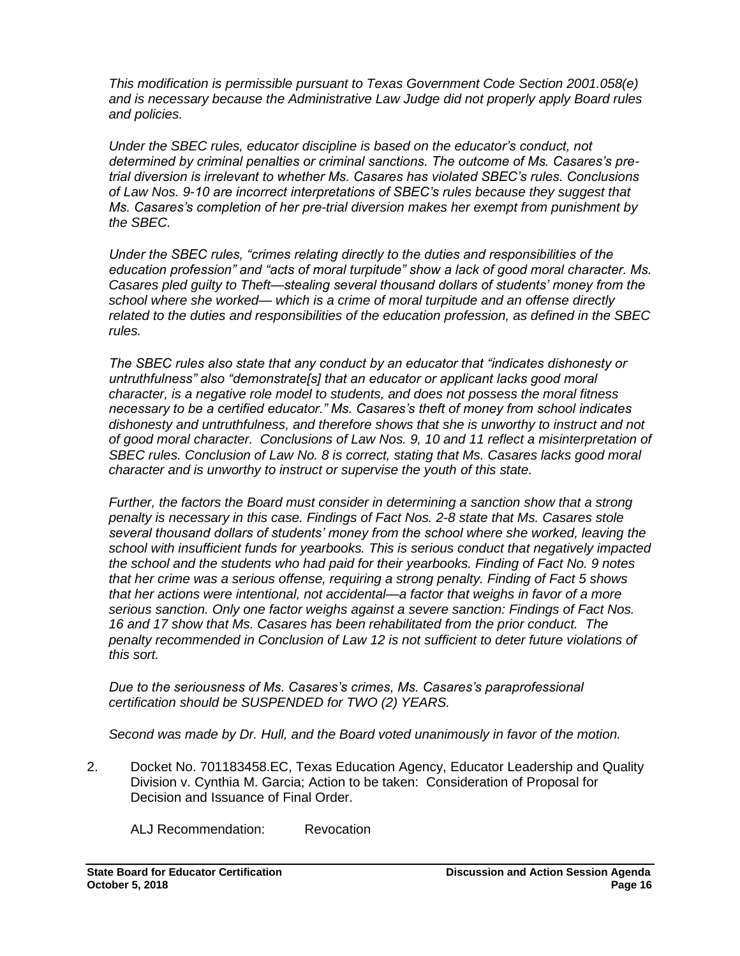*This modification is permissible pursuant to Texas Government Code Section 2001.058(e) and is necessary because the Administrative Law Judge did not properly apply Board rules and policies.* 

*Under the SBEC rules, educator discipline is based on the educator's conduct, not determined by criminal penalties or criminal sanctions. The outcome of Ms. Casares's pretrial diversion is irrelevant to whether Ms. Casares has violated SBEC's rules. Conclusions of Law Nos. 9-10 are incorrect interpretations of SBEC's rules because they suggest that Ms. Casares's completion of her pre-trial diversion makes her exempt from punishment by the SBEC.* 

*Under the SBEC rules, "crimes relating directly to the duties and responsibilities of the education profession" and "acts of moral turpitude" show a lack of good moral character. Ms. Casares pled guilty to Theft—stealing several thousand dollars of students' money from the school where she worked— which is a crime of moral turpitude and an offense directly related to the duties and responsibilities of the education profession, as defined in the SBEC rules.* 

*The SBEC rules also state that any conduct by an educator that "indicates dishonesty or untruthfulness" also "demonstrate[s] that an educator or applicant lacks good moral character, is a negative role model to students, and does not possess the moral fitness necessary to be a certified educator." Ms. Casares's theft of money from school indicates dishonesty and untruthfulness, and therefore shows that she is unworthy to instruct and not of good moral character. Conclusions of Law Nos. 9, 10 and 11 reflect a misinterpretation of SBEC rules. Conclusion of Law No. 8 is correct, stating that Ms. Casares lacks good moral character and is unworthy to instruct or supervise the youth of this state.* 

*Further, the factors the Board must consider in determining a sanction show that a strong penalty is necessary in this case. Findings of Fact Nos. 2-8 state that Ms. Casares stole several thousand dollars of students' money from the school where she worked, leaving the school with insufficient funds for yearbooks. This is serious conduct that negatively impacted the school and the students who had paid for their yearbooks. Finding of Fact No. 9 notes that her crime was a serious offense, requiring a strong penalty. Finding of Fact 5 shows that her actions were intentional, not accidental—a factor that weighs in favor of a more serious sanction. Only one factor weighs against a severe sanction: Findings of Fact Nos. 16 and 17 show that Ms. Casares has been rehabilitated from the prior conduct. The penalty recommended in Conclusion of Law 12 is not sufficient to deter future violations of this sort.*

*Due to the seriousness of Ms. Casares's crimes, Ms. Casares's paraprofessional certification should be SUSPENDED for TWO (2) YEARS.*

*Second was made by Dr. Hull, and the Board voted unanimously in favor of the motion.* 

2. Docket No. 701183458.EC, Texas Education Agency, Educator Leadership and Quality Division v. Cynthia M. Garcia; Action to be taken: Consideration of Proposal for Decision and Issuance of Final Order.

ALJ Recommendation: Revocation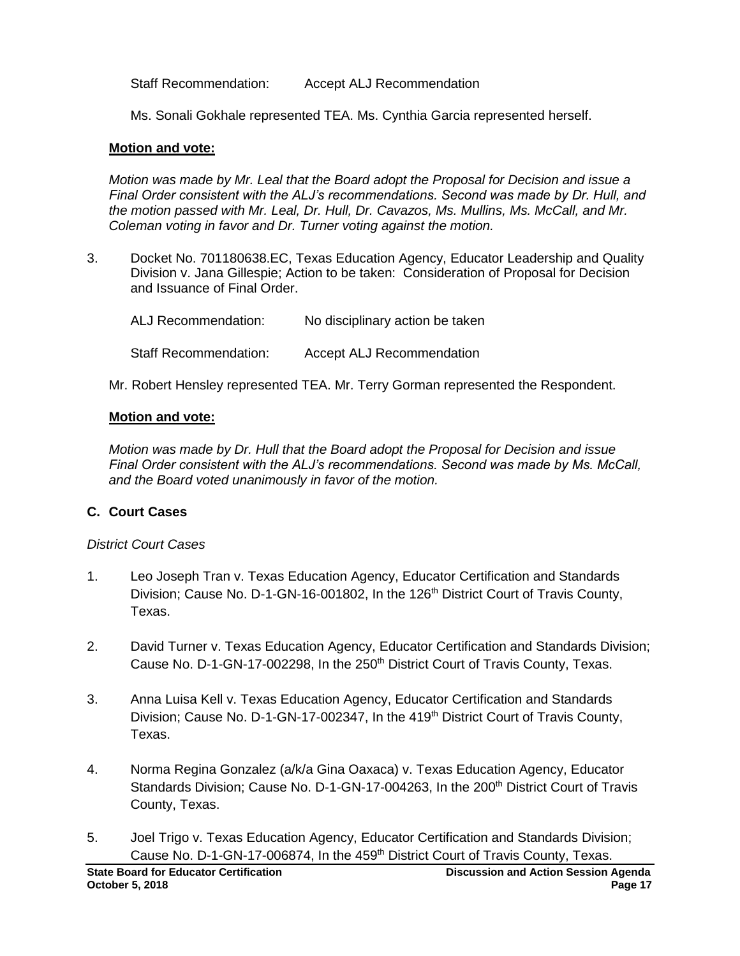Staff Recommendation: Accept ALJ Recommendation

Ms. Sonali Gokhale represented TEA. Ms. Cynthia Garcia represented herself.

## **Motion and vote:**

*Motion was made by Mr. Leal that the Board adopt the Proposal for Decision and issue a Final Order consistent with the ALJ's recommendations. Second was made by Dr. Hull, and the motion passed with Mr. Leal, Dr. Hull, Dr. Cavazos, Ms. Mullins, Ms. McCall, and Mr. Coleman voting in favor and Dr. Turner voting against the motion.* 

3. Docket No. 701180638.EC, Texas Education Agency, Educator Leadership and Quality Division v. Jana Gillespie; Action to be taken: Consideration of Proposal for Decision and Issuance of Final Order.

| ALJ Recommendation:          | No disciplinary action be taken  |
|------------------------------|----------------------------------|
| <b>Staff Recommendation:</b> | <b>Accept ALJ Recommendation</b> |

Mr. Robert Hensley represented TEA. Mr. Terry Gorman represented the Respondent.

# **Motion and vote:**

*Motion was made by Dr. Hull that the Board adopt the Proposal for Decision and issue Final Order consistent with the ALJ's recommendations. Second was made by Ms. McCall, and the Board voted unanimously in favor of the motion.* 

# **C. Court Cases**

# *District Court Cases*

- 1. Leo Joseph Tran v. Texas Education Agency, Educator Certification and Standards Division; Cause No. D-1-GN-16-001802, In the 126<sup>th</sup> District Court of Travis County, Texas.
- 2. David Turner v. Texas Education Agency, Educator Certification and Standards Division; Cause No. D-1-GN-17-002298, In the 250<sup>th</sup> District Court of Travis County, Texas.
- 3. Anna Luisa Kell v. Texas Education Agency, Educator Certification and Standards Division; Cause No. D-1-GN-17-002347, In the 419<sup>th</sup> District Court of Travis County, Texas.
- 4. Norma Regina Gonzalez (a/k/a Gina Oaxaca) v. Texas Education Agency, Educator Standards Division; Cause No. D-1-GN-17-004263, In the 200<sup>th</sup> District Court of Travis County, Texas.
- 5. Joel Trigo v. Texas Education Agency, Educator Certification and Standards Division; Cause No. D-1-GN-17-006874, In the 459<sup>th</sup> District Court of Travis County, Texas.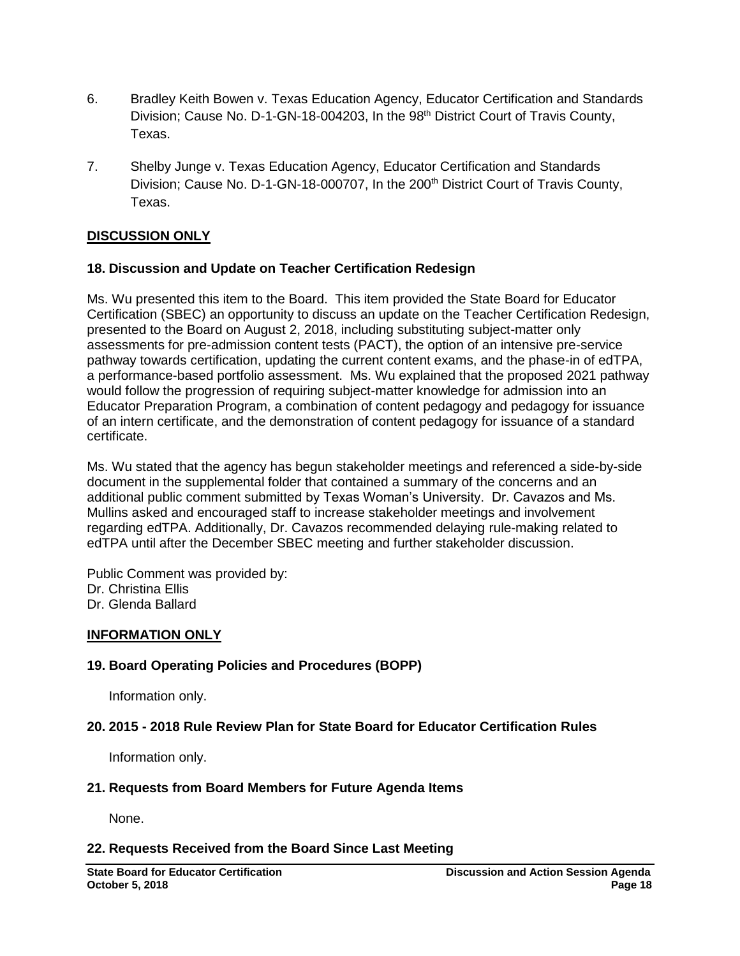- 6. Bradley Keith Bowen v. Texas Education Agency, Educator Certification and Standards Division; Cause No. D-1-GN-18-004203, In the 98<sup>th</sup> District Court of Travis County, Texas.
- 7. Shelby Junge v. Texas Education Agency, Educator Certification and Standards Division; Cause No. D-1-GN-18-000707, In the 200<sup>th</sup> District Court of Travis County, Texas.

## **DISCUSSION ONLY**

## **18. Discussion and Update on Teacher Certification Redesign**

Ms. Wu presented this item to the Board. This item provided the State Board for Educator Certification (SBEC) an opportunity to discuss an update on the Teacher Certification Redesign, presented to the Board on August 2, 2018, including substituting subject-matter only assessments for pre-admission content tests (PACT), the option of an intensive pre-service pathway towards certification, updating the current content exams, and the phase-in of edTPA, a performance-based portfolio assessment. Ms. Wu explained that the proposed 2021 pathway would follow the progression of requiring subject-matter knowledge for admission into an Educator Preparation Program, a combination of content pedagogy and pedagogy for issuance of an intern certificate, and the demonstration of content pedagogy for issuance of a standard certificate.

Ms. Wu stated that the agency has begun stakeholder meetings and referenced a side-by-side document in the supplemental folder that contained a summary of the concerns and an additional public comment submitted by Texas Woman's University. Dr. Cavazos and Ms. Mullins asked and encouraged staff to increase stakeholder meetings and involvement regarding edTPA. Additionally, Dr. Cavazos recommended delaying rule-making related to edTPA until after the December SBEC meeting and further stakeholder discussion.

Public Comment was provided by: Dr. Christina Ellis Dr. Glenda Ballard

## **INFORMATION ONLY**

## **19. Board Operating Policies and Procedures (BOPP)**

Information only.

## **20. 2015 - 2018 Rule Review Plan for State Board for Educator Certification Rules**

Information only.

## **21. Requests from Board Members for Future Agenda Items**

None.

## **22. Requests Received from the Board Since Last Meeting**